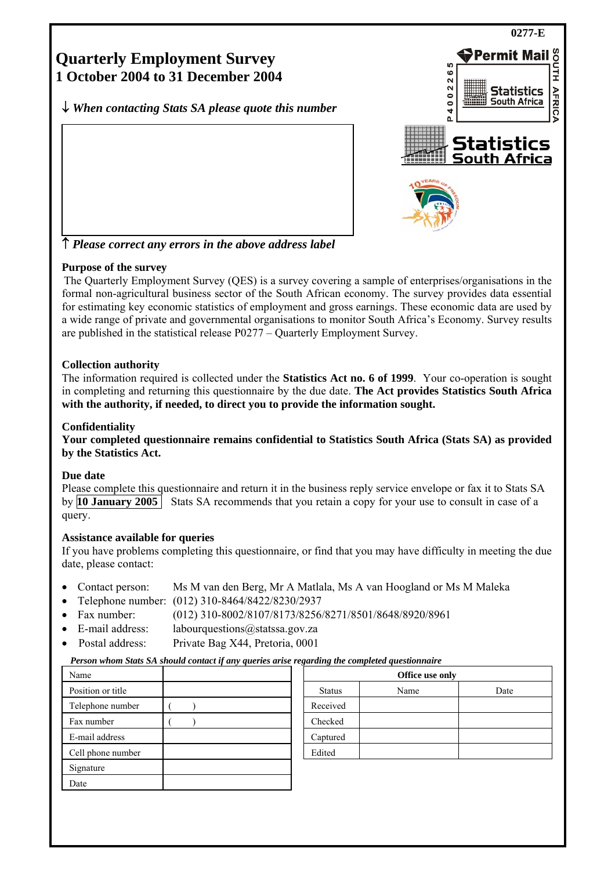

↑ *Please correct any errors in the above address label*

# **Purpose of the survey**

The Quarterly Employment Survey (QES) is a survey covering a sample of enterprises/organisations in the formal non-agricultural business sector of the South African economy. The survey provides data essential for estimating key economic statistics of employment and gross earnings. These economic data are used by a wide range of private and governmental organisations to monitor South Africa's Economy. Survey results are published in the statistical release P0277 – Quarterly Employment Survey.

# **Collection authority**

The information required is collected under the **Statistics Act no. 6 of 1999**. Your co-operation is sought in completing and returning this questionnaire by the due date. **The Act provides Statistics South Africa with the authority, if needed, to direct you to provide the information sought.**

# **Confidentiality**

**Your completed questionnaire remains confidential to Statistics South Africa (Stats SA) as provided by the Statistics Act.** 

# **Due date**

Please complete this questionnaire and return it in the business reply service envelope or fax it to Stats SA by **10 January 2005** Stats SA recommends that you retain a copy for your use to consult in case of a query.

# **Assistance available for queries**

If you have problems completing this questionnaire, or find that you may have difficulty in meeting the due date, please contact:

- Contact person: Ms M van den Berg, Mr A Matlala, Ms A van Hoogland or Ms M Maleka
- Telephone number: (012) 310-8464/8422/8230/2937
- Fax number: (012) 310-8002/8107/8173/8256/8271/8501/8648/8920/8961
- E-mail address: labourquestions@statssa.gov.za
- Postal address: Private Bag X44, Pretoria, 0001

# *Person whom Stats SA should contact if any queries arise regarding the completed questionnaire*

| Name              | Office use only |      |      |
|-------------------|-----------------|------|------|
| Position or title | <b>Status</b>   | Name | Date |
| Telephone number  | Received        |      |      |
| Fax number        | Checked         |      |      |
| E-mail address    | Captured        |      |      |
| Cell phone number | Edited          |      |      |
| Signature         |                 |      |      |
| Date              |                 |      |      |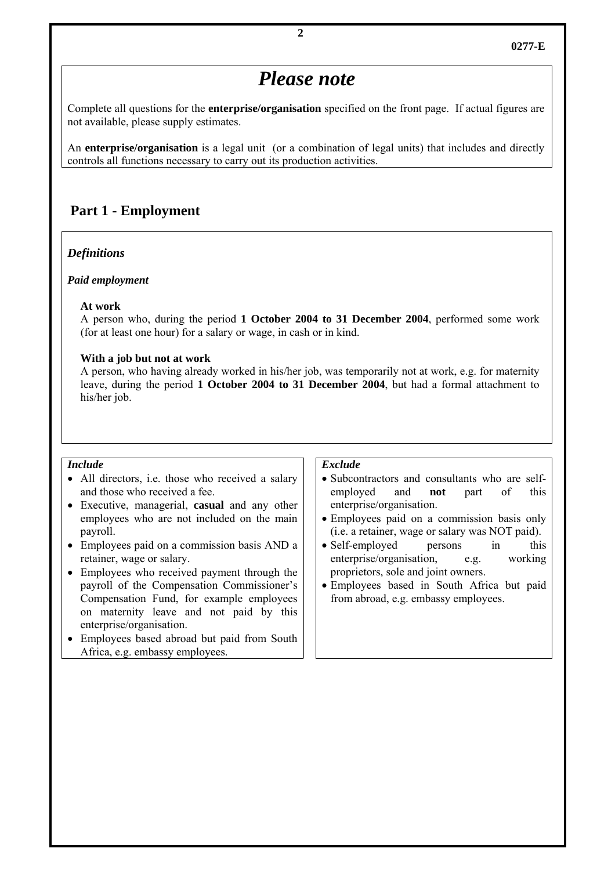# *Please note*

Complete all questions for the **enterprise/organisation** specified on the front page. If actual figures are not available, please supply estimates.

An **enterprise/organisation** is a legal unit (or a combination of legal units) that includes and directly controls all functions necessary to carry out its production activities.

# **Part 1 - Employment**

#### *Definitions*

#### *Paid employment*

#### **At work**

 A person who, during the period **1 October 2004 to 31 December 2004**, performed some work (for at least one hour) for a salary or wage, in cash or in kind.

#### **With a job but not at work**

 A person, who having already worked in his/her job, was temporarily not at work, e.g. for maternity leave, during the period **1 October 2004 to 31 December 2004**, but had a formal attachment to his/her job.

#### *Include*

- All directors, i.e. those who received a salary and those who received a fee.
- Executive, managerial, **casual** and any other employees who are not included on the main payroll.
- Employees paid on a commission basis AND a retainer, wage or salary.
- Employees who received payment through the payroll of the Compensation Commissioner's Compensation Fund, for example employees on maternity leave and not paid by this enterprise/organisation.
- Employees based abroad but paid from South Africa, e.g. embassy employees.

#### *Exclude*

- Subcontractors and consultants who are selfemployed and **not** part of this enterprise/organisation.
- Employees paid on a commission basis only (i.e. a retainer, wage or salary was NOT paid).
- Self-employed persons in this enterprise/organisation, e.g. working proprietors, sole and joint owners.
- Employees based in South Africa but paid from abroad, e.g. embassy employees.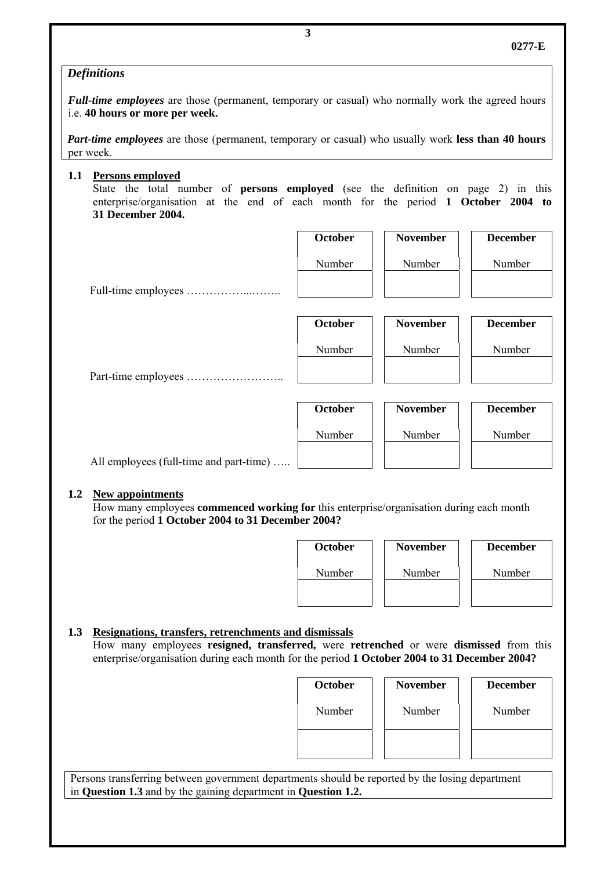# *Definitions*

*Full-time employees* are those (permanent, temporary or casual) who normally work the agreed hours i.e. **40 hours or more per week.**

*Part-time employees* are those (permanent, temporary or casual) who usually work **less than 40 hours** per week.

**1.1 Persons employed**

State the total number of **persons employed** (see the definition on page 2) in this enterprise/organisation at the end of each month for the period **1 October 2004 to 31 December 2004.**

|                                         | <b>October</b> | <b>November</b> | <b>December</b> |
|-----------------------------------------|----------------|-----------------|-----------------|
|                                         | Number         | Number          | Number          |
|                                         |                |                 |                 |
|                                         | <b>October</b> | <b>November</b> | <b>December</b> |
|                                         | Number         | Number          | Number          |
|                                         |                |                 |                 |
|                                         | <b>October</b> | <b>November</b> | <b>December</b> |
|                                         | Number         | Number          | Number          |
| All employees (full-time and part-time) |                |                 |                 |

#### **1.2 New appointments**

How many employees **commenced working for** this enterprise/organisation during each month for the period **1 October 2004 to 31 December 2004?** 

| <b>October</b> | <b>November</b> | <b>December</b> |
|----------------|-----------------|-----------------|
| Number         | Number          | Number          |
|                |                 |                 |

# **1.3 Resignations, transfers, retrenchments and dismissals**

How many employees **resigned, transferred,** were **retrenched** or were **dismissed** from this enterprise/organisation during each month for the period **1 October 2004 to 31 December 2004?** 

| <b>October</b> | <b>November</b> | <b>December</b> |
|----------------|-----------------|-----------------|
| Number         | Number          | Number          |
|                |                 |                 |

Persons transferring between government departments should be reported by the losing department in **Question 1.3** and by the gaining department in **Question 1.2.**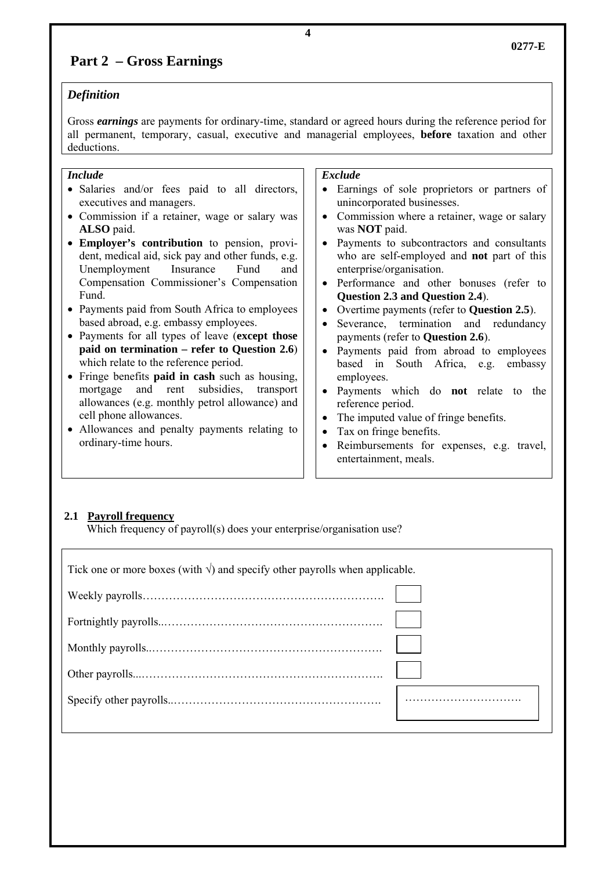# **Part 2 – Gross Earnings**

# *Definition*

Gross *earnings* are payments for ordinary-time, standard or agreed hours during the reference period for all permanent, temporary, casual, executive and managerial employees, **before** taxation and other deductions.

### *Include*

- Salaries and/or fees paid to all directors, executives and managers.
- Commission if a retainer, wage or salary was **ALSO** paid.
- **Employer's contribution** to pension, provident, medical aid, sick pay and other funds, e.g. Unemployment Insurance Fund and Compensation Commissioner's Compensation Fund.
- Payments paid from South Africa to employees based abroad, e.g. embassy employees.
- Payments for all types of leave (**except those paid on termination – refer to Question 2.6**) which relate to the reference period.
- Fringe benefits **paid in cash** such as housing, mortgage and rent subsidies, transport allowances (e.g. monthly petrol allowance) and cell phone allowances.
- Allowances and penalty payments relating to ordinary-time hours.

# *Exclude*

- Earnings of sole proprietors or partners of unincorporated businesses.
- Commission where a retainer, wage or salary was **NOT** paid.
- Payments to subcontractors and consultants who are self-employed and **not** part of this enterprise/organisation.
- Performance and other bonuses (refer to **Question 2.3 and Question 2.4**).
- Overtime payments (refer to **Question 2.5**).
- Severance, termination and redundancy payments (refer to **Question 2.6**).
- Payments paid from abroad to employees based in South Africa, e.g. embassy employees.
- Payments which do **not** relate to the reference period.
- The imputed value of fringe benefits.
- Tax on fringe benefits.
- Reimbursements for expenses, e.g. travel, entertainment, meals.

# **2.1 Payroll frequency**

Which frequency of payroll(s) does your enterprise/organisation use?

Tick one or more boxes (with  $\sqrt{ }$ ) and specify other payrolls when applicable. Weekly payrolls………………………………………………………. Fortnightly payrolls..…………………………………………………. Monthly payrolls..……………………………………………………. Other payrolls...………………………………………………………. Specify other payrolls..………………………………………………. ………………………….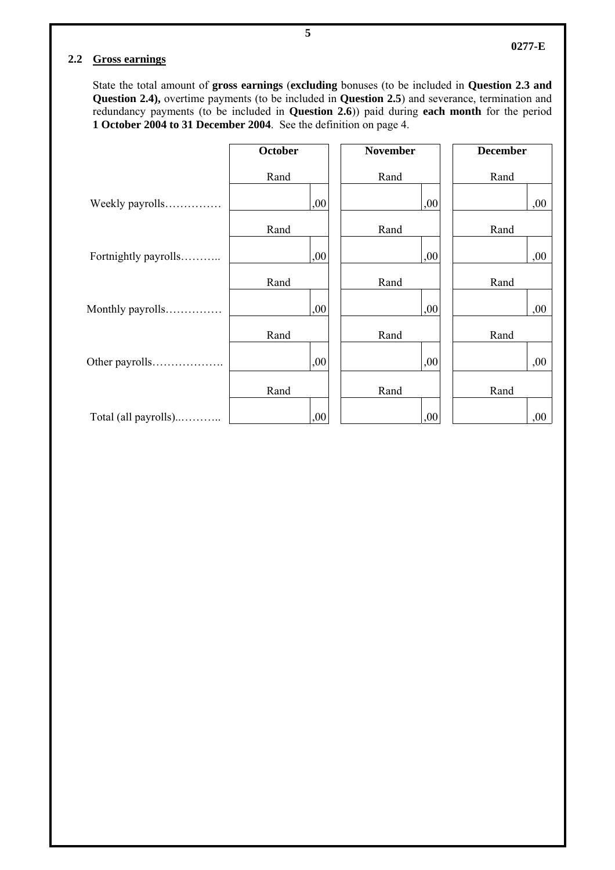#### **2.2 Gross earnings**

State the total amount of **gross earnings** (**excluding** bonuses (to be included in **Question 2.3 and Question 2.4),** overtime payments (to be included in **Question 2.5**) and severance, termination and redundancy payments (to be included in **Question 2.6**)) paid during **each month** for the period **1 October 2004 to 31 December 2004**. See the definition on page 4.

|                      | October | <b>November</b> | <b>December</b> |
|----------------------|---------|-----------------|-----------------|
|                      | Rand    | Rand            | Rand            |
| Weekly payrolls      | ,00     | ,00             | ,00             |
|                      | Rand    | Rand            | Rand            |
| Fortnightly payrolls | ,00     | ,00             | ,00             |
|                      | Rand    | Rand            | Rand            |
| Monthly payrolls     | ,00     | ,00             | ,00             |
|                      | Rand    | Rand            | Rand            |
| Other payrolls       | ,00     | ,00             | ,00             |
|                      | Rand    | Rand            | Rand            |
| Total (all payrolls) | ,00     | ,00             | ,00             |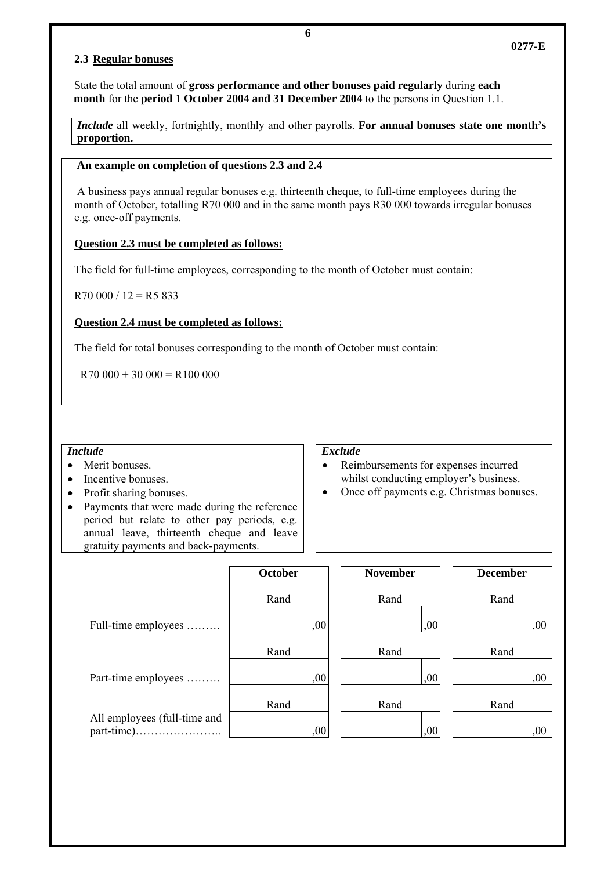### **2.3 Regular bonuses**

State the total amount of **gross performance and other bonuses paid regularly** during **each month** for the **period 1 October 2004 and 31 December 2004** to the persons in Question 1.1.

*Include* all weekly, fortnightly, monthly and other payrolls. **For annual bonuses state one month's proportion.** 

#### **An example on completion of questions 2.3 and 2.4**

 A business pays annual regular bonuses e.g. thirteenth cheque, to full-time employees during the month of October, totalling R70 000 and in the same month pays R30 000 towards irregular bonuses e.g. once-off payments.

# **Question 2.3 must be completed as follows:**

The field for full-time employees, corresponding to the month of October must contain:

 $R70000 / 12 = R5833$ 

# **Question 2.4 must be completed as follows:**

The field for total bonuses corresponding to the month of October must contain:

 $R70 000 + 30 000 = R100 000$ 

#### *Include*

- Merit bonuses.
- Incentive bonuses.
- Profit sharing bonuses.
- Payments that were made during the reference period but relate to other pay periods, e.g. annual leave, thirteenth cheque and leave gratuity payments and back-payments.

#### *Exclude*

- Reimbursements for expenses incurred whilst conducting employer's business.
- Once off payments e.g. Christmas bonuses.

|                              | October | <b>November</b> | <b>December</b> |
|------------------------------|---------|-----------------|-----------------|
|                              | Rand    | Rand            | Rand            |
| Full-time employees          | ,00     | ,00             | ,00             |
|                              | Rand    | Rand            | Rand            |
| Part-time employees          | ,00     | ,00             | ,00             |
|                              | Rand    | Rand            | Rand            |
| All employees (full-time and | ,00     | 00,             | $.00\,$         |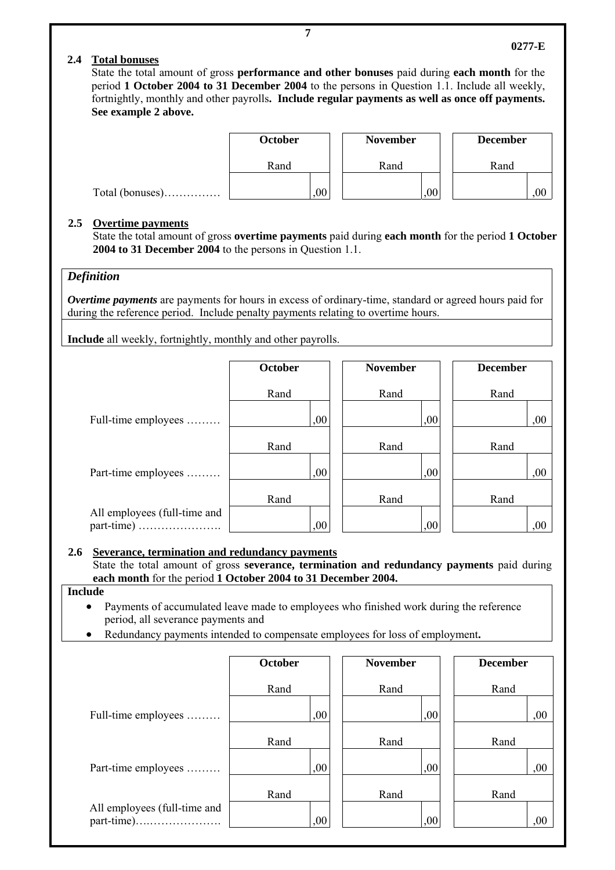# **2.4 Total bonuses**

State the total amount of gross **performance and other bonuses** paid during **each month** for the period **1 October 2004 to 31 December 2004** to the persons in Question 1.1. Include all weekly, fortnightly, monthly and other payrolls**. Include regular payments as well as once off payments. See example 2 above.**



#### **2.5 Overtime payments**

State the total amount of gross **overtime payments** paid during **each month** for the period **1 October 2004 to 31 December 2004** to the persons in Question 1.1.

#### *Definition*

*Overtime payments* are payments for hours in excess of ordinary-time, standard or agreed hours paid for during the reference period. Include penalty payments relating to overtime hours.

**Include** all weekly, fortnightly, monthly and other payrolls.

|                              | October | <b>November</b> | <b>December</b> |
|------------------------------|---------|-----------------|-----------------|
|                              | Rand    | Rand            | Rand            |
| Full-time employees          | ,00     | ,00             | ,00             |
|                              | Rand    | Rand            | Rand            |
| Part-time employees          | ,00     | ,00             | ,00             |
|                              | Rand    | Rand            | Rand            |
| All employees (full-time and | ,00     | ,00             | ,00             |

#### **2.6 Severance, termination and redundancy payments**

State the total amount of gross **severance, termination and redundancy payments** paid during **each month** for the period **1 October 2004 to 31 December 2004.**

#### **Include**

- Payments of accumulated leave made to employees who finished work during the reference period, all severance payments and
- Redundancy payments intended to compensate employees for loss of employment**.**

|                              | October | <b>November</b> | <b>December</b> |
|------------------------------|---------|-----------------|-----------------|
|                              | Rand    | Rand            | Rand            |
| Full-time employees          | ,00     | ,00             | ,00             |
|                              | Rand    | Rand            | Rand            |
| Part-time employees          | ,00     | .00             | 00,             |
|                              | Rand    | Rand            | Rand            |
| All employees (full-time and | ,00     | ,00             | ,00             |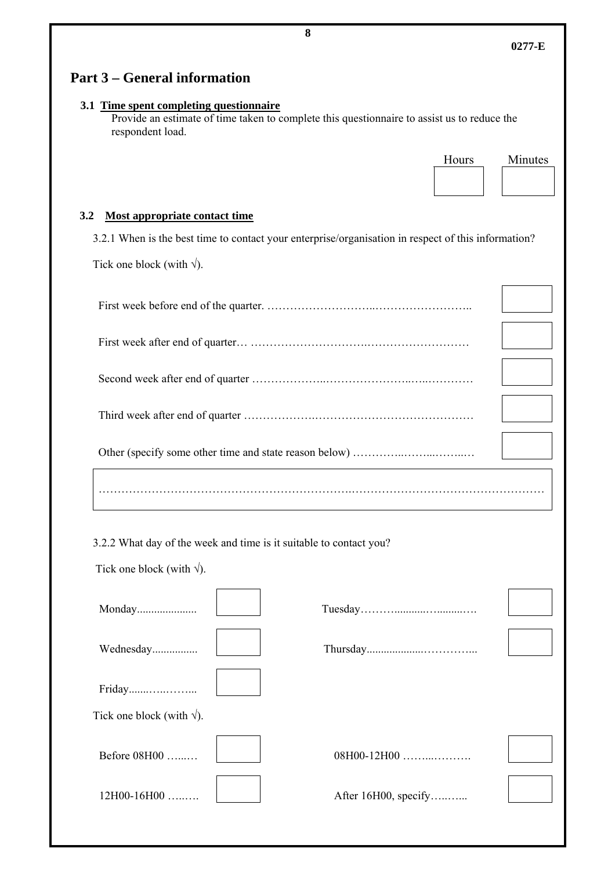| 3.1 Time spent completing questionnaire<br>Provide an estimate of time taken to complete this questionnaire to assist us to reduce the<br>respondent load. |                  |
|------------------------------------------------------------------------------------------------------------------------------------------------------------|------------------|
|                                                                                                                                                            | Hours<br>Minutes |
|                                                                                                                                                            |                  |
| 3.2<br>Most appropriate contact time                                                                                                                       |                  |
| 3.2.1 When is the best time to contact your enterprise/organisation in respect of this information?                                                        |                  |
| Tick one block (with $\sqrt{ }$ ).                                                                                                                         |                  |
|                                                                                                                                                            |                  |
|                                                                                                                                                            |                  |
|                                                                                                                                                            |                  |
|                                                                                                                                                            |                  |
|                                                                                                                                                            |                  |
|                                                                                                                                                            |                  |
|                                                                                                                                                            |                  |
| 3.2.2 What day of the week and time is it suitable to contact you?                                                                                         |                  |
| Tick one block (with $\sqrt{ }$ ).                                                                                                                         |                  |
| Monday                                                                                                                                                     |                  |
| Wednesday                                                                                                                                                  |                  |
| Friday                                                                                                                                                     |                  |
|                                                                                                                                                            |                  |
| Tick one block (with $\sqrt{ }$ ).                                                                                                                         |                  |
| Before 08H00                                                                                                                                               | 08H00-12H00      |